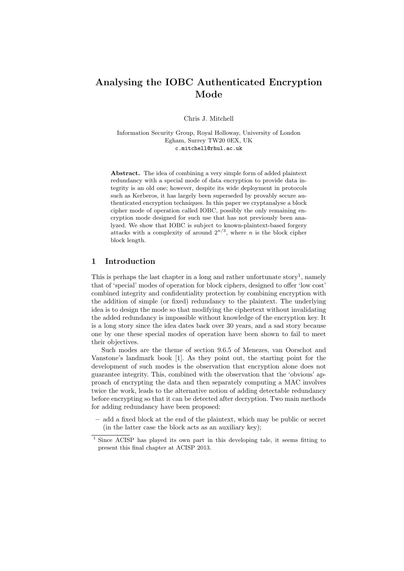# **Analysing the IOBC Authenticated Encryption Mode**

Chris J. Mitchell

Information Security Group, Royal Holloway, University of London Egham, Surrey TW20 0EX, UK c.mitchell@rhul.ac.uk

**Abstract.** The idea of combining a very simple form of added plaintext redundancy with a special mode of data encryption to provide data integrity is an old one; however, despite its wide deployment in protocols such as Kerberos, it has largely been superseded by provably secure authenticated encryption techniques. In this paper we cryptanalyse a block cipher mode of operation called IOBC, possibly the only remaining encryption mode designed for such use that has not previously been analyzed. We show that IOBC is subject to known-plaintext-based forgery attacks with a complexity of around  $2^{n/3}$ , where *n* is the block cipher block length.

# **1 Introduction**

This is perhaps the last chapter in a long and rather unfortunate story<sup>1</sup>, namely that of 'special' modes of operation for block ciphers, designed to offer 'low cost' combined integrity and confidentiality protection by combining encryption with the addition of simple (or fixed) redundancy to the plaintext. The underlying idea is to design the mode so that modifying the ciphertext without invalidating the added redundancy is impossible without knowledge of the encryption key. It is a long story since the idea dates back over 30 years, and a sad story because one by one these special modes of operation have been shown to fail to meet their objectives.

Such modes are the theme of section 9.6.5 of Menezes, van Oorschot and Vanstone's landmark book [1]. As they point out, the starting point for the development of such modes is the observation that encryption alone does not guarantee integrity. This, combined with the observation that the 'obvious' approach of encrypting the data and then separately computing a MAC involves twice the work, leads to the alternative notion of adding detectable redundancy before encrypting so that it can be detected after decryption. Two main methods for adding redundancy have been proposed:

**–** add a fixed block at the end of the plaintext, which may be public or secret (in the latter case the block acts as an auxiliary key);

<sup>&</sup>lt;sup>1</sup> Since ACISP has played its own part in this developing tale, it seems fitting to present this final chapter at ACISP 2013.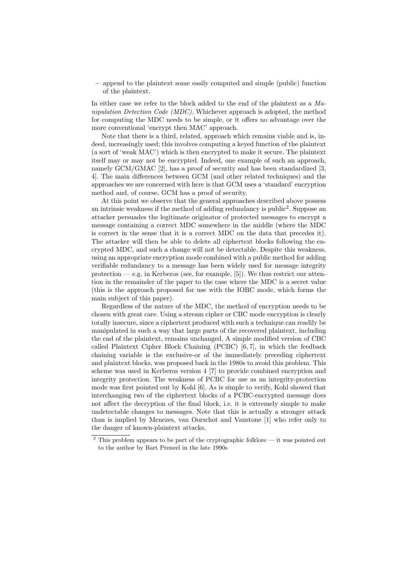**–** append to the plaintext some easily computed and simple (public) function of the plaintext.

In either case we refer to the block added to the end of the plaintext as a *Manipulation Detection Code (MDC)*. Whichever approach is adopted, the method for computing the MDC needs to be simple, or it offers no advantage over the more conventional 'encrypt then MAC' approach.

Note that there is a third, related, approach which remains viable and is, indeed, increasingly used; this involves computing a keyed function of the plaintext (a sort of 'weak MAC') which is then encrypted to make it secure. The plaintext itself may or may not be encrypted. Indeed, one example of such an approach, namely GCM/GMAC [2], has a proof of security and has been standardized [3, 4]. The main differences between GCM (and other related techniques) and the approaches we are concerned with here is that GCM uses a 'standard' encryption method and, of course, GCM has a proof of security.

At this point we observe that the general approaches described above possess an intrinsic weakness if the method of adding redundancy is public<sup>2</sup>. Suppose an attacker persuades the legitimate originator of protected messages to encrypt a message containing a correct MDC somewhere in the middle (where the MDC is correct in the sense that it is a correct MDC on the data that precedes it). The attacker will then be able to delete all ciphertext blocks following the encrypted MDC, and such a change will not be detectable. Despite this weakness, using an appropriate encryption mode combined with a public method for adding verifiable redundancy to a message has been widely used for message integrity protection — e.g. in Kerberos (see, for example,  $[5]$ ). We thus restrict our attention in the remainder of the paper to the case where the MDC is a secret value (this is the approach proposed for use with the IOBC mode, which forms the main subject of this paper).

Regardless of the nature of the MDC, the method of encryption needs to be chosen with great care. Using a stream cipher or CBC mode encryption is clearly totally insecure, since a ciphertext produced with such a technique can readily be manipulated in such a way that large parts of the recovered plaintext, including the end of the plaintext, remains unchanged. A simple modified version of CBC called Plaintext Cipher Block Chaining (PCBC) [6, 7], in which the feedback chaining variable is the exclusive-or of the immediately preceding ciphertext and plaintext blocks, was proposed back in the 1980s to avoid this problem. This scheme was used in Kerberos version 4 [7] to provide combined encryption and integrity protection. The weakness of PCBC for use as an integrity-protection mode was first pointed out by Kohl [6]. As is simple to verify, Kohl showed that interchanging two of the ciphertext blocks of a PCBC-encrypted message does not affect the decryption of the final block, i.e. it is extremely simple to make undetectable changes to messages. Note that this is actually a stronger attack than is implied by Menezes, van Oorschot and Vanstone [1] who refer only to the danger of known-plaintext attacks.

 $2$  This problem appears to be part of the cryptographic folklore  $-$  it was pointed out to the author by Bart Preneel in the late 1990s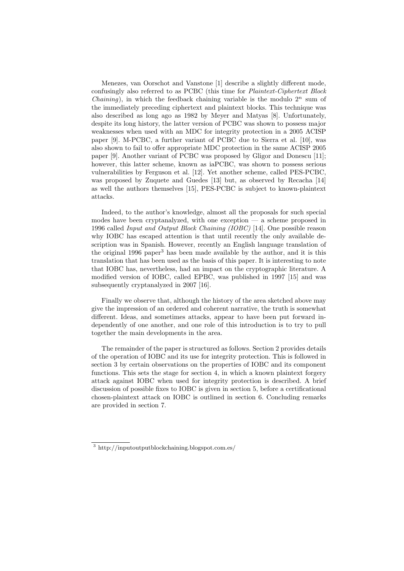Menezes, van Oorschot and Vanstone [1] describe a slightly different mode, confusingly also referred to as PCBC (this time for *Plaintext-Ciphertext Block Chaining*), in which the feedback chaining variable is the modulo  $2^n$  sum of the immediately preceding ciphertext and plaintext blocks. This technique was also described as long ago as 1982 by Meyer and Matyas [8]. Unfortunately, despite its long history, the latter version of PCBC was shown to possess major weaknesses when used with an MDC for integrity protection in a 2005 ACISP paper [9]. M-PCBC, a further variant of PCBC due to Sierra et al. [10], was also shown to fail to offer appropriate MDC protection in the same ACISP 2005 paper [9]. Another variant of PCBC was proposed by Gligor and Donescu [11]; however, this latter scheme, known as iaPCBC, was shown to possess serious vulnerabilities by Ferguson et al. [12]. Yet another scheme, called PES-PCBC, was proposed by Zuquete and Guedes [13] but, as observed by Recacha [14] as well the authors themselves [15], PES-PCBC is subject to known-plaintext attacks.

Indeed, to the author's knowledge, almost all the proposals for such special modes have been cryptanalyzed, with one exception — a scheme proposed in 1996 called *Input and Output Block Chaining (IOBC)* [14]. One possible reason why IOBC has escaped attention is that until recently the only available description was in Spanish. However, recently an English language translation of the original  $1996$  paper<sup>3</sup> has been made available by the author, and it is this translation that has been used as the basis of this paper. It is interesting to note that IOBC has, nevertheless, had an impact on the cryptographic literature. A modified version of IOBC, called EPBC, was published in 1997 [15] and was subsequently cryptanalyzed in 2007 [16].

Finally we observe that, although the history of the area sketched above may give the impression of an ordered and coherent narrative, the truth is somewhat different. Ideas, and sometimes attacks, appear to have been put forward independently of one another, and one role of this introduction is to try to pull together the main developments in the area.

The remainder of the paper is structured as follows. Section 2 provides details of the operation of IOBC and its use for integrity protection. This is followed in section 3 by certain observations on the properties of IOBC and its component functions. This sets the stage for section 4, in which a known plaintext forgery attack against IOBC when used for integrity protection is described. A brief discussion of possible fixes to IOBC is given in section 5, before a certificational chosen-plaintext attack on IOBC is outlined in section 6. Concluding remarks are provided in section 7.

<sup>3</sup> http://inputoutputblockchaining.blogspot.com.es/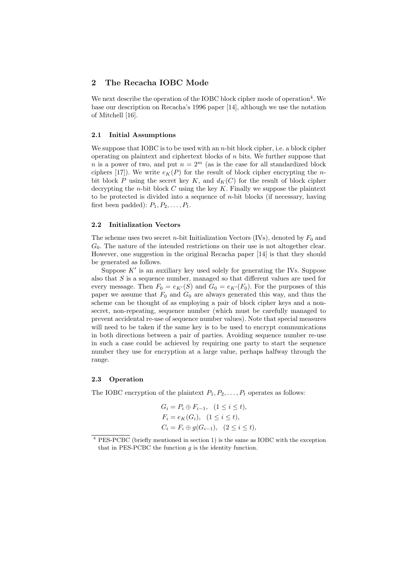# **2 The Recacha IOBC Mode**

We next describe the operation of the IOBC block cipher mode of operation<sup>4</sup>. We base our description on Recacha's 1996 paper [14], although we use the notation of Mitchell [16].

## **2.1 Initial Assumptions**

We suppose that IOBC is to be used with an *n*-bit block cipher, i.e. a block cipher operating on plaintext and ciphertext blocks of *n* bits. We further suppose that *n* is a power of two, and put  $n = 2^m$  (as is the case for all standardized block ciphers [17]). We write  $e_K(P)$  for the result of block cipher encrypting the *n*bit block *P* using the secret key *K*, and  $d_K(C)$  for the result of block cipher decrypting the *n*-bit block *C* using the key *K*. Finally we suppose the plaintext to be protected is divided into a sequence of *n*-bit blocks (if necessary, having first been padded):  $P_1, P_2, \ldots, P_t$ .

#### **2.2 Initialization Vectors**

The scheme uses two secret *n*-bit Initialization Vectors (IVs), denoted by  $F_0$  and *G*0. The nature of the intended restrictions on their use is not altogether clear. However, one suggestion in the original Recacha paper [14] is that they should be generated as follows.

Suppose  $K'$  is an auxiliary key used solely for generating the IVs. Suppose also that *S* is a sequence number, managed so that different values are used for every message. Then  $F_0 = e_{K'}(S)$  and  $G_0 = e_{K'}(F_0)$ . For the purposes of this paper we assume that  $F_0$  and  $G_0$  are always generated this way, and thus the scheme can be thought of as employing a pair of block cipher keys and a nonsecret, non-repeating, sequence number (which must be carefully managed to prevent accidental re-use of sequence number values). Note that special measures will need to be taken if the same key is to be used to encrypt communications in both directions between a pair of parties. Avoiding sequence number re-use in such a case could be achieved by requiring one party to start the sequence number they use for encryption at a large value, perhaps halfway through the range.

#### **2.3 Operation**

The IOBC encryption of the plaintext  $P_1, P_2, \ldots, P_t$  operates as follows:

$$
G_i = P_i \oplus F_{i-1}, \quad (1 \le i \le t),
$$
  
\n
$$
F_i = e_K(G_i), \quad (1 \le i \le t),
$$
  
\n
$$
C_i = F_i \oplus g(G_{i-1}), \quad (2 \le i \le t),
$$

<sup>4</sup> PES-PCBC (briefly mentioned in section 1) is the same as IOBC with the exception that in PES-PCBC the function  $q$  is the identity function.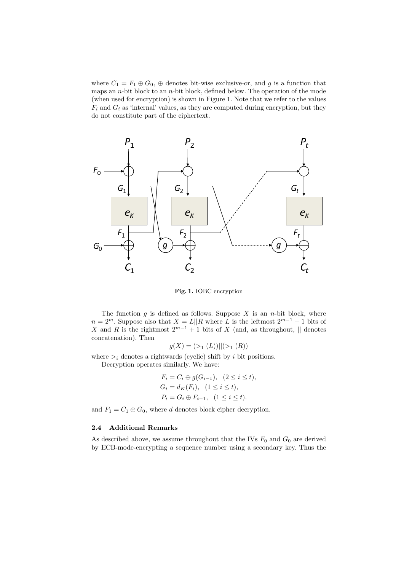where  $C_1 = F_1 \oplus G_0$ ,  $\oplus$  denotes bit-wise exclusive-or, and g is a function that maps an *n*-bit block to an *n*-bit block, defined below. The operation of the mode (when used for encryption) is shown in Figure 1. Note that we refer to the values  $F_i$  and  $G_i$  as 'internal' values, as they are computed during encryption, but they do not constitute part of the ciphertext.



**Fig. 1.** IOBC encryption

The function  $g$  is defined as follows. Suppose  $X$  is an  $n$ -bit block, where  $n = 2^m$ . Suppose also that  $X = L||R$  where *L* is the leftmost  $2^{m-1} - 1$  bits of *X* and *R* is the rightmost  $2^{m-1} + 1$  bits of *X* (and, as throughout, *||* denotes concatenation). Then

$$
g(X) = (\gt_1(L))||(\gt_1(R))
$$

where  $>$ <sub>*i*</sub> denotes a rightwards (cyclic) shift by *i* bit positions. Decryption operates similarly. We have:

$$
F_i = C_i \oplus g(G_{i-1}), \quad (2 \le i \le t),
$$
  
\n
$$
G_i = d_K(F_i), \quad (1 \le i \le t),
$$
  
\n
$$
P_i = G_i \oplus F_{i-1}, \quad (1 \le i \le t).
$$

and  $F_1 = C_1 \oplus G_0$ , where *d* denotes block cipher decryption.

#### **2.4 Additional Remarks**

As described above, we assume throughout that the IVs  $F_0$  and  $G_0$  are derived by ECB-mode-encrypting a sequence number using a secondary key. Thus the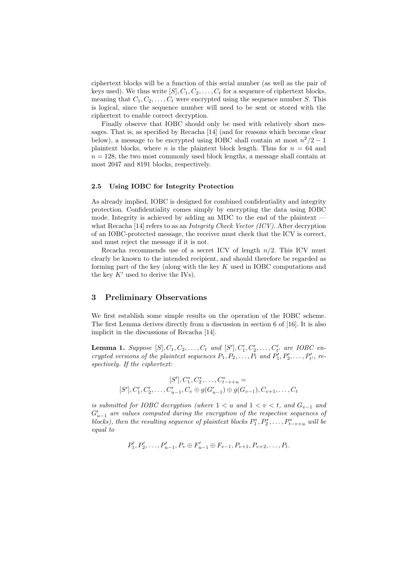ciphertext blocks will be a function of this serial number (as well as the pair of keys used). We thus write  $[S], C_1, C_2, \ldots, C_t$  for a sequence of ciphertext blocks, meaning that  $C_1, C_2, \ldots, C_t$  were encrypted using the sequence number *S*. This is logical, since the sequence number will need to be sent or stored with the ciphertext to enable correct decryption.

Finally observe that IOBC should only be used with relatively short messages. That is, as specified by Recacha [14] (and for reasons which become clear below), a message to be encrypted using IOBC shall contain at most  $n^2/2 - 1$ plaintext blocks, where *n* is the plaintext block length. Thus for  $n = 64$  and  $n = 128$ , the two most commonly used block lengths, a message shall contain at most 2047 and 8191 blocks, respectively.

## **2.5 Using IOBC for Integrity Protection**

As already implied, IOBC is designed for combined confidentiality and integrity protection. Confidentiality comes simply by encrypting the data using IOBC mode. Integrity is achieved by adding an MDC to the end of the plaintext what Recacha [14] refers to as an *Integrity Check Vector (ICV)*. After decryption of an IOBC-protected message, the receiver must check that the ICV is correct, and must reject the message if it is not.

Recacha recommends use of a secret ICV of length *n/*2. This ICV must clearly be known to the intended recipient, and should therefore be regarded as forming part of the key (along with the key *K* used in IOBC computations and the key  $K'$  used to derive the IVs).

## **3 Preliminary Observations**

We first establish some simple results on the operation of the IOBC scheme. The first Lemma derives directly from a discussion in section 6 of [16]. It is also implicit in the discussions of Recacha [14].

**Lemma 1.** Suppose  $[S], C_1, C_2, ..., C_t$  and  $[S'], C'_1, C'_2, ..., C'_{t'}$  are IOBC en*crypted versions of the plaintext sequences*  $P_1, P_2, \ldots, P_t$  and  $P'_1, P'_2, \ldots, P'_{t'}$ , re*spectively. If the ciphertext:*

$$
[S'], C_1^*, C_2^*, \dots, C_{t-v+u}^* =
$$
  

$$
[S'], C_1', C_2', \dots, C_{u-1}', C_v \oplus g(C_{u-1}') \oplus g(C_{v-1}), C_{v+1}, \dots, C_t
$$

*is submitted for IOBC decryption (where*  $1 < u$  *and*  $1 < v < t$ *, and*  $G_{v-1}$  *and G*<sup>′</sup><sub>*u*−1</sub> *are values computed during the encryption of the respective sequences of blocks*), then the resulting sequence of plaintext blocks  $P_1^*, P_2^*, \ldots, P_{t-v+u}^*$  will be *equal to*

$$
P'_1, P'_2, \ldots, P'_{u-1}, P_v \oplus F'_{u-1} \oplus F_{v-1}, P_{v+1}, P_{v+2}, \ldots, P_t.
$$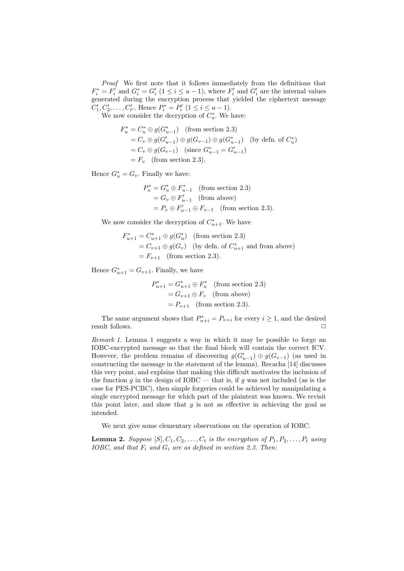*Proof* We first note that it follows immediately from the definitions that  $F_i^* = F_i'$  and  $G_i^* = G_i'$   $(1 \leq i \leq u-1)$ , where  $F_i'$  and  $G_i'$  are the internal values generated during the encryption process that yielded the ciphertext message  $C'_{1}, C'_{2}, \ldots, C'_{t'}$ . Hence  $P_{i}^{*} = P'_{i}$  (1 ≤ *i* ≤ *u* − 1).

We now consider the decryption of  $C^*_{u}$ . We have:

$$
F_u^* = C_u^* \oplus g(G_{u-1}^*) \quad \text{(from section 2.3)}
$$
  
=  $C_v \oplus g(G_{u-1}^*) \oplus g(G_{v-1}) \oplus g(G_{u-1}^*) \quad \text{(by defn. of } C_u^*)$   
=  $C_v \oplus g(G_{v-1}) \quad \text{(since } G_{u-1}^* = G_{u-1}^{\prime})$   
=  $F_v \quad \text{(from section 2.3).}$ 

Hence  $G^*_{u} = G_v$ . Finally we have:

$$
P_u^* = G_u^* \oplus F_{u-1}^*
$$
 (from section 2.3)  
=  $G_v \oplus F_{u-1}'$  (from above)  
=  $P_v \oplus F_{u-1}' \oplus F_{v-1}$  (from section 2.3).

We now consider the decryption of  $C_{u+1}^*$ . We have

$$
F_{u+1}^* = C_{u+1}^* \oplus g(G_u^*) \quad \text{(from section 2.3)}
$$
  
=  $C_{v+1} \oplus g(G_v)$  (by defn. of  $C_{u+1}^*$  and from above)  
=  $F_{v+1}$  (from section 2.3).

Hence  $G_{u+1}^* = G_{v+1}$ . Finally, we have

$$
P_{u+1}^* = G_{u+1}^* \oplus F_u^*
$$
 (from section 2.3)  
=  $G_{v+1} \oplus F_v$  (from above)  
=  $P_{v+1}$  (from section 2.3).

The same argument shows that  $P_{u+i}^* = P_{v+i}$  for every  $i \geq 1$ , and the desired **result follows.**  $\Box$ 

*Remark 1.* Lemma 1 suggests a way in which it may be possible to forge an IOBC-encrypted message so that the final block will contain the correct ICV. However, the problem remains of discovering  $g(G'_{u-1}) \oplus g(G_{v-1})$  (as used in constructing the message in the statement of the lemma). Recacha [14] discusses this very point, and explains that making this difficult motivates the inclusion of the function *g* in the design of IOBC — that is, if *g* was not included (as is the case for PES-PCBC), then simple forgeries could be achieved by manipulating a single encrypted message for which part of the plaintext was known. We revisit this point later, and show that  $q$  is not as effective in achieving the goal as intended.

We next give some elementary observations on the operation of IOBC.

**Lemma 2.** *Suppose*  $[S], C_1, C_2, \ldots, C_t$  *is the encryption of*  $P_1, P_2, \ldots, P_t$  *using IOBC, and that F<sup>i</sup> and G<sup>i</sup> are as defined in section 2.3. Then:*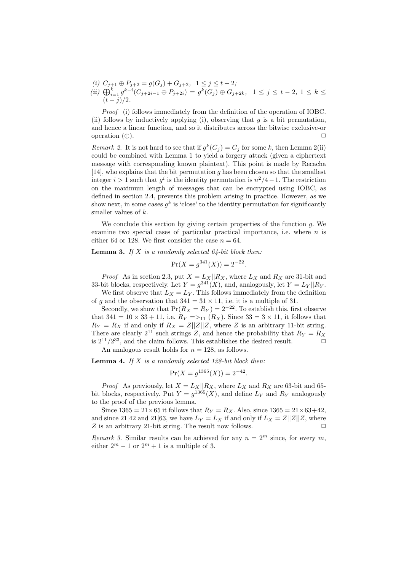(i) 
$$
C_{j+1} \oplus P_{j+2} = g(G_j) + G_{j+2}, \quad 1 \le j \le t-2;
$$
  
\n(ii)  $\bigoplus_{i=1}^k g^{k-i} (C_{j+2i-1} \oplus P_{j+2i}) = g^k(G_j) \oplus G_{j+2k}, \quad 1 \le j \le t-2, \quad 1 \le k \le (t-j)/2.$ 

*Proof* (i) follows immediately from the definition of the operation of IOBC. (ii) follows by inductively applying (i), observing that *g* is a bit permutation, and hence a linear function, and so it distributes across the bitwise exclusive-or operation (⊕).  $\Box$ 

*Remark 2.* It is not hard to see that if  $g^k(G_j) = G_j$  for some *k*, then Lemma 2(ii) could be combined with Lemma 1 to yield a forgery attack (given a ciphertext message with corresponding known plaintext). This point is made by Recacha [14], who explains that the bit permutation *g* has been chosen so that the smallest integer *i* > 1 such that  $g^i$  is the identity permutation is  $n^2/4-1$ . The restriction on the maximum length of messages that can be encrypted using IOBC, as defined in section 2.4, prevents this problem arising in practice. However, as we show next, in some cases  $g^k$  is 'close' to the identity permutation for significantly smaller values of *k*.

We conclude this section by giving certain properties of the function *g*. We examine two special cases of particular practical importance, i.e. where *n* is either 64 or 128. We first consider the case  $n = 64$ .

**Lemma 3.** *If X is a randomly selected 64-bit block then:*

$$
\Pr(X = g^{341}(X)) = 2^{-22}.
$$

*Proof* As in section 2.3, put  $X = L_X || R_X$ , where  $L_X$  and  $R_X$  are 31-bit and 33-bit blocks, respectively. Let  $Y = g^{341}(X)$ , and, analogously, let  $Y = L_Y||R_Y$ .

We first observe that  $L_X = L_Y$ . This follows immediately from the definition of *g* and the observation that  $341 = 31 \times 11$ , i.e. it is a multiple of 31.

Secondly, we show that  $Pr(R_X = R_Y) = 2^{-22}$ . To establish this, first observe that  $341 = 10 \times 33 + 11$ , i.e.  $R_Y = >_{11} (R_X)$ . Since  $33 = 3 \times 11$ , it follows that  $R_Y = R_X$  if and only if  $R_X = Z||Z||Z$ , where *Z* is an arbitrary 11-bit string. There are clearly  $2^{11}$  such strings *Z*, and hence the probability that  $R_Y = R_X$ is  $2^{11}/2^{33}$ , and the claim follows. This establishes the desired result.  $\Box$ An analogous result holds for  $n = 128$ , as follows.

**Lemma 4.** *If X is a randomly selected 128-bit block then:*

$$
\Pr(X = g^{1365}(X)) = 2^{-42}.
$$

*Proof* As previously, let  $X = L_X || R_X$ , where  $L_X$  and  $R_X$  are 63-bit and 65bit blocks, respectively. Put  $Y = g^{1365}(X)$ , and define  $L_Y$  and  $R_Y$  analogously to the proof of the previous lemma.

Since  $1365 = 21 \times 65$  it follows that  $R_Y = R_X$ . Also, since  $1365 = 21 \times 63 + 42$ , and since 21|42 and 21|63, we have  $L_Y = L_X$  if and only if  $L_X = Z||Z||Z$ , where <br>*Z* is an arbitrary 21-bit string. The result now follows *Z* is an arbitrary 21-bit string. The result now follows.

*Remark 3.* Similar results can be achieved for any  $n = 2^m$  since, for every m, either  $2^m - 1$  or  $2^m + 1$  is a multiple of 3.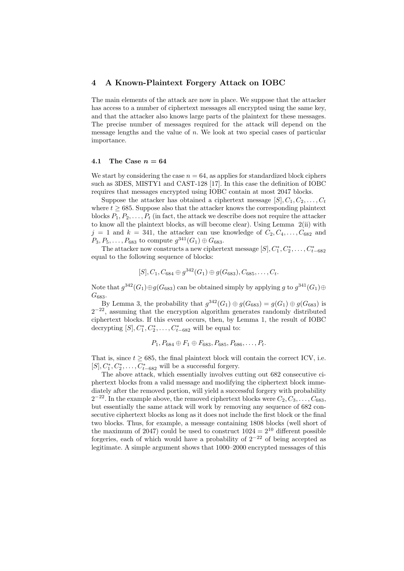## **4 A Known-Plaintext Forgery Attack on IOBC**

The main elements of the attack are now in place. We suppose that the attacker has access to a number of ciphertext messages all encrypted using the same key, and that the attacker also knows large parts of the plaintext for these messages. The precise number of messages required for the attack will depend on the message lengths and the value of *n*. We look at two special cases of particular importance.

#### **4.1** The Case  $n = 64$

We start by considering the case  $n = 64$ , as applies for standardized block ciphers such as 3DES, MISTY1 and CAST-128 [17]. In this case the definition of IOBC requires that messages encrypted using IOBC contain at most 2047 blocks.

Suppose the attacker has obtained a ciphertext message  $[S], C_1, C_2, \ldots, C_t$ where  $t \geq 685$ . Suppose also that the attacker knows the corresponding plaintext blocks  $P_1, P_2, \ldots, P_t$  (in fact, the attack we describe does not require the attacker to know all the plaintext blocks, as will become clear). Using Lemma 2(ii) with  $j = 1$  and  $k = 341$ , the attacker can use knowledge of  $C_2, C_4, \ldots, C_{682}$  and  $P_3, P_5, \ldots, P_{683}$  to compute  $g^{341}(G_1) \oplus G_{683}$ .

The attacker now constructs a new ciphertext message  $[S], C_1^*, C_2^*, \ldots, C_{t-682}^*$ equal to the following sequence of blocks:

$$
[S], C_1, C_{684} \oplus g^{342}(G_1) \oplus g(G_{683}), C_{685}, \ldots, C_t.
$$

Note that  $g^{342}(G_1) \oplus g(G_{683})$  can be obtained simply by applying *g* to  $g^{341}(G_1) \oplus$ *G*683.

By Lemma 3, the probability that  $g^{342}(G_1) \oplus g(G_{683}) = g(G_1) \oplus g(G_{683})$  is 2<sup>-22</sup>, assuming that the encryption algorithm generates randomly distributed ciphertext blocks. If this event occurs, then, by Lemma 1, the result of IOBC decrypting  $[S], C_1^*, C_2^*, \ldots, C_{t-682}^*$  will be equal to:

$$
P_1, P_{684} \oplus F_1 \oplus F_{683}, P_{685}, P_{686}, \ldots, P_t.
$$

That is, since  $t \geq 685$ , the final plaintext block will contain the correct ICV, i.e.  $[S], C_1^*, C_2^*, \ldots, C_{t-682}^*$  will be a successful forgery.

The above attack, which essentially involves cutting out 682 consecutive ciphertext blocks from a valid message and modifying the ciphertext block immediately after the removed portion, will yield a successful forgery with probability  $2^{-22}$ . In the example above, the removed ciphertext blocks were  $C_2, C_3, \ldots, C_{683}$ , but essentially the same attack will work by removing any sequence of 682 consecutive ciphertext blocks as long as it does not include the first block or the final two blocks. Thus, for example, a message containing 1808 blocks (well short of the maximum of 2047) could be used to construct  $1024 = 2^{10}$  different possible forgeries, each of which would have a probability of 2*−*<sup>22</sup> of being accepted as legitimate. A simple argument shows that 1000–2000 encrypted messages of this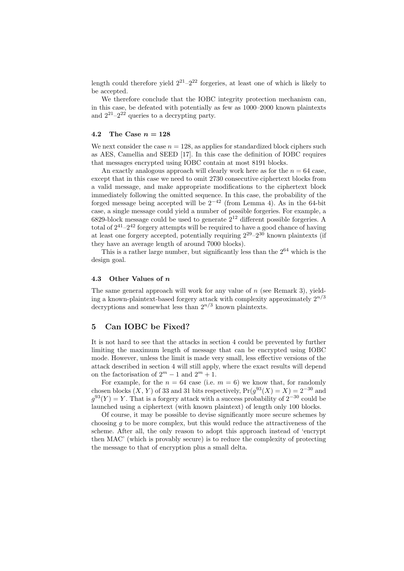length could therefore yield  $2^{21}-2^{22}$  forgeries, at least one of which is likely to be accepted.

We therefore conclude that the IOBC integrity protection mechanism can, in this case, be defeated with potentially as few as 1000–2000 known plaintexts and  $2^{21}-2^{22}$  queries to a decrypting party.

## **4.2 The Case** *n* **= 128**

We next consider the case  $n = 128$ , as applies for standardized block ciphers such as AES, Camellia and SEED [17]. In this case the definition of IOBC requires that messages encrypted using IOBC contain at most 8191 blocks.

An exactly analogous approach will clearly work here as for the  $n = 64$  case, except that in this case we need to omit 2730 consecutive ciphertext blocks from a valid message, and make appropriate modifications to the ciphertext block immediately following the omitted sequence. In this case, the probability of the forged message being accepted will be 2*−*<sup>42</sup> (from Lemma 4). As in the 64-bit case, a single message could yield a number of possible forgeries. For example, a 6829-block message could be used to generate  $2^{12}$  different possible forgeries. A total of  $2^{41} - 2^{42}$  forgery attempts will be required to have a good chance of having at least one forgery accepted, potentially requiring  $2^{29}-2^{30}$  known plaintexts (if they have an average length of around 7000 blocks).

This is a rather large number, but significantly less than the  $2^{64}$  which is the design goal.

## **4.3 Other Values of** *n*

The same general approach will work for any value of *n* (see Remark 3), yielding a known-plaintext-based forgery attack with complexity approximately 2*n/*<sup>3</sup> decryptions and somewhat less than  $2^{n/3}$  known plaintexts.

# **5 Can IOBC be Fixed?**

It is not hard to see that the attacks in section 4 could be prevented by further limiting the maximum length of message that can be encrypted using IOBC mode. However, unless the limit is made very small, less effective versions of the attack described in section 4 will still apply, where the exact results will depend on the factorisation of  $2^m - 1$  and  $2^m + 1$ .

For example, for the  $n = 64$  case (i.e.  $m = 6$ ) we know that, for randomly chosen blocks  $(X, Y)$  of 33 and 31 bits respectively,  $Pr(g^{93}(X) = X) = 2^{-30}$  and  $g^{93}(Y) = Y$ . That is a forgery attack with a success probability of  $2^{-30}$  could be launched using a ciphertext (with known plaintext) of length only 100 blocks.

Of course, it may be possible to devise significantly more secure schemes by choosing *g* to be more complex, but this would reduce the attractiveness of the scheme. After all, the only reason to adopt this approach instead of 'encrypt then MAC' (which is provably secure) is to reduce the complexity of protecting the message to that of encryption plus a small delta.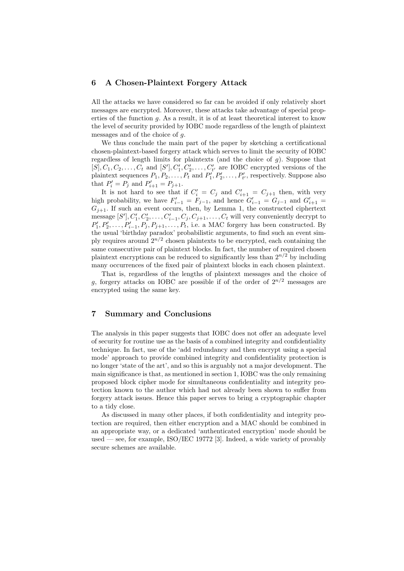## **6 A Chosen-Plaintext Forgery Attack**

All the attacks we have considered so far can be avoided if only relatively short messages are encrypted. Moreover, these attacks take advantage of special properties of the function *g*. As a result, it is of at least theoretical interest to know the level of security provided by IOBC mode regardless of the length of plaintext messages and of the choice of *g*.

We thus conclude the main part of the paper by sketching a certificational chosen-plaintext-based forgery attack which serves to limit the security of IOBC regardless of length limits for plaintexts (and the choice of *g*). Suppose that  $[S], C_1, C_2, \ldots, C_t$  and  $[S'], C'_1, C'_2, \ldots, C'_{t'}$  are IOBC encrypted versions of the plaintext sequences  $P_1, P_2, \ldots, P_t$  and  $P'_1, P'_2, \ldots, P'_{t'}$ , respectively. Suppose also that  $P'_{i} = P_{j}$  and  $P'_{i+1} = P_{j+1}$ .

It is not hard to see that if  $C_i' = C_j$  and  $C_{i+1}' = C_{j+1}$  then, with very high probability, we have  $F'_{i-1} = F_{j-1}$ , and hence  $G'_{i-1} = G_{j-1}$  and  $G'_{i+1} = G_{j-1}$  $G_{j+1}$ . If such an event occurs, then, by Lemma 1, the constructed ciphertext message  $[S'], C'_1, C'_2, \ldots, C'_{i-1}, C_j, C_{j+1}, \ldots, C_t$  will very conveniently decrypt to  $P'_1, P'_2, \ldots, P'_{i-1}, P_j, P_{j+1}, \ldots, P_t$ , i.e. a MAC forgery has been constructed. By the usual 'birthday paradox' probabilistic arguments, to find such an event simply requires around  $2^{n/2}$  chosen plaintexts to be encrypted, each containing the same consecutive pair of plaintext blocks. In fact, the number of required chosen plaintext encryptions can be reduced to significantly less than  $2^{n/2}$  by including many occurrences of the fixed pair of plaintext blocks in each chosen plaintext.

That is, regardless of the lengths of plaintext messages and the choice of *g*, forgery attacks on IOBC are possible if of the order of  $2^{n/2}$  messages are encrypted using the same key.

# **7 Summary and Conclusions**

The analysis in this paper suggests that IOBC does not offer an adequate level of security for routine use as the basis of a combined integrity and confidentiality technique. In fact, use of the 'add redundancy and then encrypt using a special mode' approach to provide combined integrity and confidentiality protection is no longer 'state of the art', and so this is arguably not a major development. The main significance is that, as mentioned in section 1, IOBC was the only remaining proposed block cipher mode for simultaneous confidentiality and integrity protection known to the author which had not already been shown to suffer from forgery attack issues. Hence this paper serves to bring a cryptographic chapter to a tidy close.

As discussed in many other places, if both confidentiality and integrity protection are required, then either encryption and a MAC should be combined in an appropriate way, or a dedicated 'authenticated encryption' mode should be used — see, for example, ISO/IEC 19772 [3]. Indeed, a wide variety of provably secure schemes are available.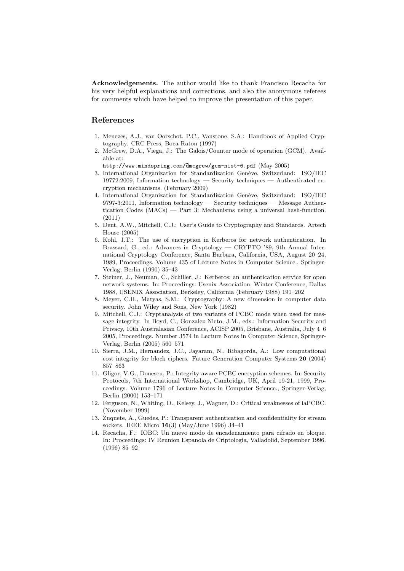**Acknowledgements.** The author would like to thank Francisco Recacha for his very helpful explanations and corrections, and also the anonymous referees for comments which have helped to improve the presentation of this paper.

# **References**

- 1. Menezes, A.J., van Oorschot, P.C., Vanstone, S.A.: Handbook of Applied Cryptography. CRC Press, Boca Raton (1997)
- 2. McGrew, D.A., Viega, J.: The Galois/Counter mode of operation (GCM). Available at:

http://www.mindspring.com/dmcgrew/gcm-nist-6.pdf (May 2005)

- 3. International Organization for Standardization Genève, Switzerland: ISO/IEC 19772:2009, Information technology — Security techniques — Authenticated encryption mechanisms. (February 2009)
- 4. International Organization for Standardization Genève, Switzerland: ISO/IEC 9797-3:2011, Information technology — Security techniques — Message Authentication Codes (MACs) — Part 3: Mechanisms using a universal hash-function. (2011)
- 5. Dent, A.W., Mitchell, C.J.: User's Guide to Cryptography and Standards. Artech House (2005)
- 6. Kohl, J.T.: The use of encryption in Kerberos for network authentication. In Brassard, G., ed.: Advances in Cryptology — CRYPTO '89, 9th Annual International Cryptology Conference, Santa Barbara, California, USA, August 20–24, 1989, Proceedings. Volume 435 of Lecture Notes in Computer Science., Springer-Verlag, Berlin (1990) 35–43
- 7. Steiner, J., Neuman, C., Schiller, J.: Kerberos: an authentication service for open network systems. In: Proceedings: Usenix Association, Winter Conference, Dallas 1988, USENIX Association, Berkeley, California (February 1988) 191–202
- 8. Meyer, C.H., Matyas, S.M.: Cryptography: A new dimension in computer data security. John Wiley and Sons, New York (1982)
- 9. Mitchell, C.J.: Cryptanalysis of two variants of PCBC mode when used for message integrity. In Boyd, C., Gonzalez Nieto, J.M., eds.: Information Security and Privacy, 10th Australasian Conference, ACISP 2005, Brisbane, Australia, July 4–6 2005, Proceedings. Number 3574 in Lecture Notes in Computer Science, Springer-Verlag, Berlin (2005) 560–571
- 10. Sierra, J.M., Hernandez, J.C., Jayaram, N., Ribagorda, A.: Low computational cost integrity for block ciphers. Future Generation Computer Systems **20** (2004) 857–863
- 11. Gligor, V.G., Donescu, P.: Integrity-aware PCBC encryption schemes. In: Security Protocols, 7th International Workshop, Cambridge, UK, April 19-21, 1999, Proceedings. Volume 1796 of Lecture Notes in Computer Science., Springer-Verlag, Berlin (2000) 153–171
- 12. Ferguson, N., Whiting, D., Kelsey, J., Wagner, D.: Critical weaknesses of iaPCBC. (November 1999)
- 13. Zuquete, A., Guedes, P.: Transparent authentication and confidentiality for stream sockets. IEEE Micro **16**(3) (May/June 1996) 34–41
- 14. Recacha, F.: IOBC: Un nuevo modo de encadenamiento para cifrado en bloque. In: Proceedings: IV Reunion Espanola de Criptologia, Valladolid, September 1996. (1996) 85–92